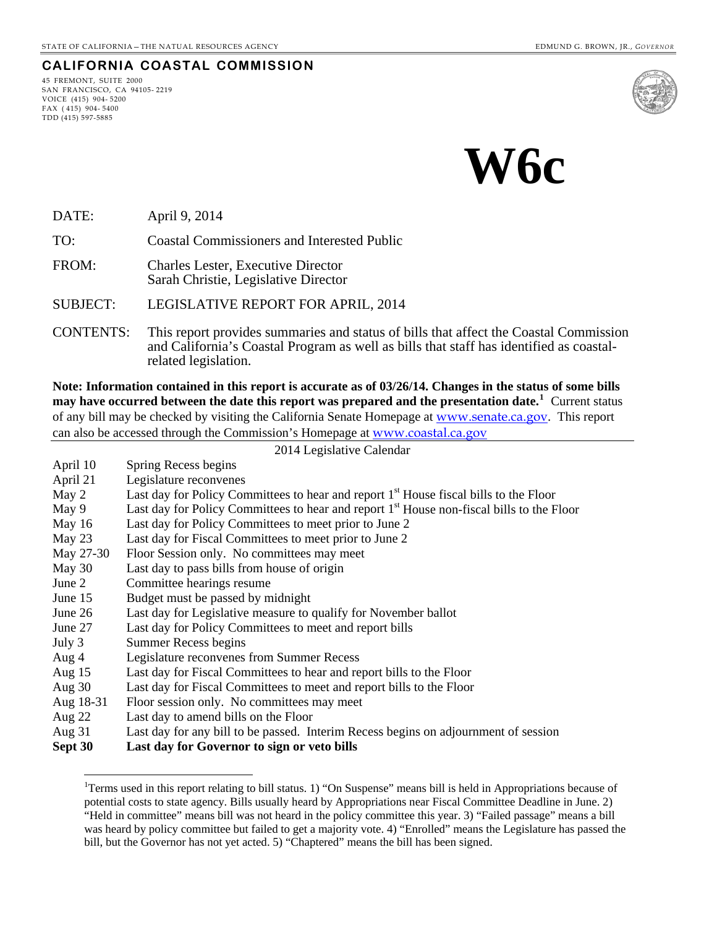**CALIFORNIA COASTAL COMMISSION**

# **W6c**

DATE: April 9, 2014

45 FREMONT, SUITE 2000 SAN FRANCISCO, CA 94105- 2219

VOICE (415) 904- 5200 FAX ( 415) 904- 5400 TDD (415) 597-5885

-

TO: Coastal Commissioners and Interested Public

FROM: Charles Lester, Executive Director Sarah Christie, Legislative Director

SUBJECT: LEGISLATIVE REPORT FOR APRIL, 2014

CONTENTS: This report provides summaries and status of bills that affect the Coastal Commission and California's Coastal Program as well as bills that staff has identified as coastalrelated legislation.

**Note: Information contained in this report is accurate as of 03/26/14. Changes in the status of some bills may have occurred between the date this report was prepared and the presentation date.[1](#page-0-0)** Current status of any bill may be checked by visiting the California Senate Homepage at [www.senate.ca.gov](http://www.senate.ca.gov/). This report can also be accessed through the Commission's Homepage at [www.coastal.ca.gov](http://www.coastal.ca.gov/)

|           | 2014 Legislative Calendar                                                                             |  |  |
|-----------|-------------------------------------------------------------------------------------------------------|--|--|
| April 10  | Spring Recess begins                                                                                  |  |  |
| April 21  | Legislature reconvenes                                                                                |  |  |
| May 2     | Last day for Policy Committees to hear and report 1 <sup>st</sup> House fiscal bills to the Floor     |  |  |
| May 9     | Last day for Policy Committees to hear and report 1 <sup>st</sup> House non-fiscal bills to the Floor |  |  |
| May $16$  | Last day for Policy Committees to meet prior to June 2                                                |  |  |
| May 23    | Last day for Fiscal Committees to meet prior to June 2                                                |  |  |
| May 27-30 | Floor Session only. No committees may meet                                                            |  |  |
| May 30    | Last day to pass bills from house of origin                                                           |  |  |
| June 2    | Committee hearings resume                                                                             |  |  |
| June 15   | Budget must be passed by midnight                                                                     |  |  |
| June 26   | Last day for Legislative measure to qualify for November ballot                                       |  |  |
| June 27   | Last day for Policy Committees to meet and report bills                                               |  |  |
| July 3    | Summer Recess begins                                                                                  |  |  |
| Aug 4     | Legislature reconvenes from Summer Recess                                                             |  |  |
| Aug $15$  | Last day for Fiscal Committees to hear and report bills to the Floor                                  |  |  |
| Aug 30    | Last day for Fiscal Committees to meet and report bills to the Floor                                  |  |  |
| Aug 18-31 | Floor session only. No committees may meet                                                            |  |  |
| Aug $22$  | Last day to amend bills on the Floor                                                                  |  |  |
| Aug $31$  | Last day for any bill to be passed. Interim Recess begins on adjournment of session                   |  |  |
| Sept 30   | Last day for Governor to sign or veto bills                                                           |  |  |

<span id="page-0-0"></span><sup>&</sup>lt;sup>1</sup>Terms used in this report relating to bill status. 1) "On Suspense" means bill is held in Appropriations because of potential costs to state agency. Bills usually heard by Appropriations near Fiscal Committee Deadline in June. 2) "Held in committee" means bill was not heard in the policy committee this year. 3) "Failed passage" means a bill was heard by policy committee but failed to get a majority vote. 4) "Enrolled" means the Legislature has passed the bill, but the Governor has not yet acted. 5) "Chaptered" means the bill has been signed.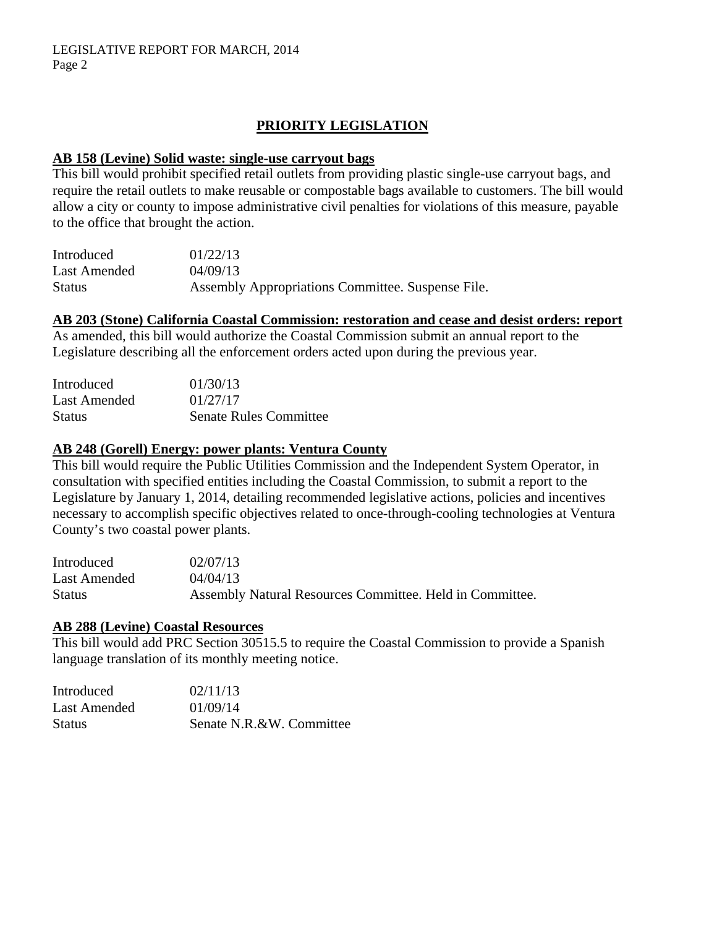# **PRIORITY LEGISLATION**

#### **AB 158 (Levine) Solid waste: single-use carryout bags**

This bill would prohibit specified retail outlets from providing plastic single-use carryout bags, and require the retail outlets to make reusable or compostable bags available to customers. The bill would allow a city or county to impose administrative civil penalties for violations of this measure, payable to the office that brought the action.

| Introduced    | 01/22/13                                          |
|---------------|---------------------------------------------------|
| Last Amended  | 04/09/13                                          |
| <b>Status</b> | Assembly Appropriations Committee. Suspense File. |

#### **AB 203 (Stone) California Coastal Commission: restoration and cease and desist orders: report**

As amended, this bill would authorize the Coastal Commission submit an annual report to the Legislature describing all the enforcement orders acted upon during the previous year.

| Introduced    | 01/30/13                      |
|---------------|-------------------------------|
| Last Amended  | 01/27/17                      |
| <b>Status</b> | <b>Senate Rules Committee</b> |

#### **AB 248 (Gorell) Energy: power plants: Ventura County**

This bill would require the Public Utilities Commission and the Independent System Operator, in consultation with specified entities including the Coastal Commission, to submit a report to the Legislature by January 1, 2014, detailing recommended legislative actions, policies and incentives necessary to accomplish specific objectives related to once-through-cooling technologies at Ventura County's two coastal power plants.

| Introduced   | 02/07/13                                                 |
|--------------|----------------------------------------------------------|
| Last Amended | 04/04/13                                                 |
| Status       | Assembly Natural Resources Committee. Held in Committee. |

#### **AB 288 (Levine) Coastal Resources**

This bill would add PRC Section 30515.5 to require the Coastal Commission to provide a Spanish language translation of its monthly meeting notice.

| Introduced    | 02/11/13                 |
|---------------|--------------------------|
| Last Amended  | 01/09/14                 |
| <b>Status</b> | Senate N.R.&W. Committee |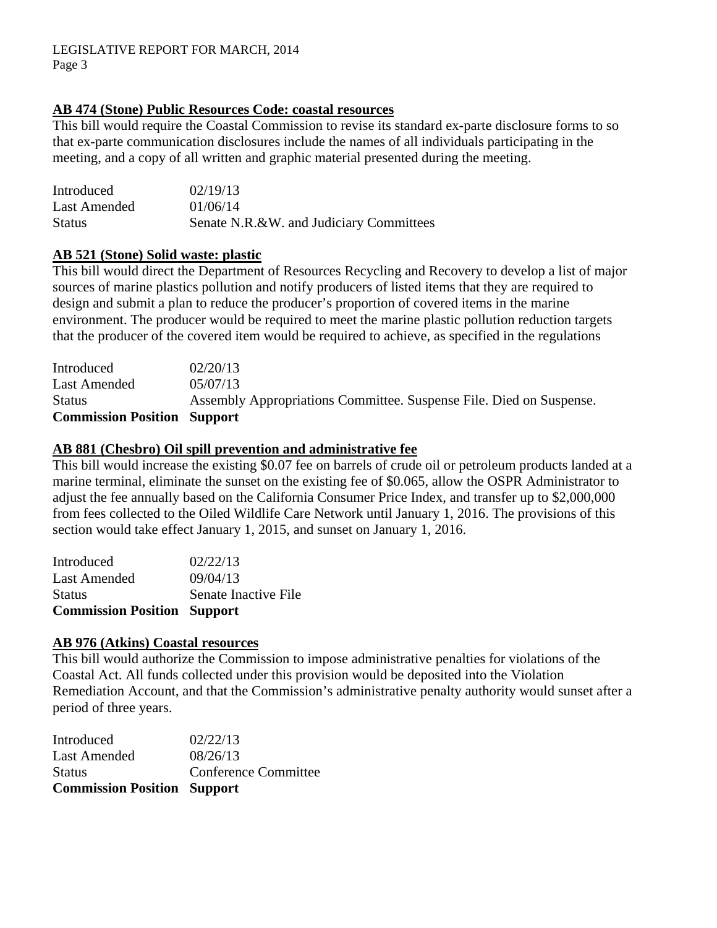# **AB 474 (Stone) Public Resources Code: coastal resources**

This bill would require the Coastal Commission to revise its standard ex-parte disclosure forms to so that ex-parte communication disclosures include the names of all individuals participating in the meeting, and a copy of all written and graphic material presented during the meeting.

| Introduced    | 02/19/13                                |
|---------------|-----------------------------------------|
| Last Amended  | 01/06/14                                |
| <b>Status</b> | Senate N.R.&W. and Judiciary Committees |

### **AB 521 (Stone) Solid waste: plastic**

This bill would direct the Department of Resources Recycling and Recovery to develop a list of major sources of marine plastics pollution and notify producers of listed items that they are required to design and submit a plan to reduce the producer's proportion of covered items in the marine environment. The producer would be required to meet the marine plastic pollution reduction targets that the producer of the covered item would be required to achieve, as specified in the regulations

| Introduced                         | 02/20/13                                                            |
|------------------------------------|---------------------------------------------------------------------|
| Last Amended                       | 0.5/07/13                                                           |
| <b>Status</b>                      | Assembly Appropriations Committee. Suspense File. Died on Suspense. |
| <b>Commission Position Support</b> |                                                                     |

#### **AB 881 (Chesbro) Oil spill prevention and administrative fee**

This bill would increase the existing \$0.07 fee on barrels of crude oil or petroleum products landed at a marine terminal, eliminate the sunset on the existing fee of \$0.065, allow the OSPR Administrator to adjust the fee annually based on the California Consumer Price Index, and transfer up to \$2,000,000 from fees collected to the Oiled Wildlife Care Network until January 1, 2016. The provisions of this section would take effect January 1, 2015, and sunset on January 1, 2016.

| <b>Commission Position Support</b> |                      |
|------------------------------------|----------------------|
| <b>Status</b>                      | Senate Inactive File |
| Last Amended                       | 09/04/13             |
| Introduced                         | 02/22/13             |

#### **AB 976 (Atkins) Coastal resources**

This bill would authorize the Commission to impose administrative penalties for violations of the Coastal Act. All funds collected under this provision would be deposited into the Violation Remediation Account, and that the Commission's administrative penalty authority would sunset after a period of three years.

| <b>Commission Position Support</b> |                      |
|------------------------------------|----------------------|
| <b>Status</b>                      | Conference Committee |
| <b>Last Amended</b>                | 08/26/13             |
| Introduced                         | 02/22/13             |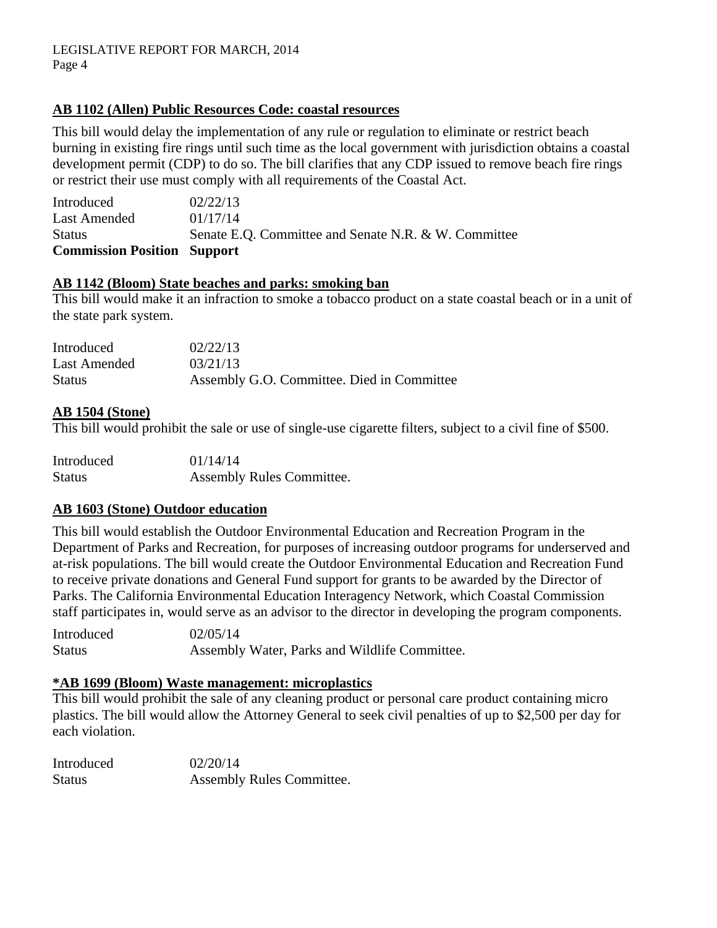# **AB 1102 (Allen) Public Resources Code: coastal resources**

This bill would delay the implementation of any rule or regulation to eliminate or restrict beach burning in existing fire rings until such time as the local government with jurisdiction obtains a coastal development permit (CDP) to do so. The bill clarifies that any CDP issued to remove beach fire rings or restrict their use must comply with all requirements of the Coastal Act.

Introduced 02/22/13 Last Amended  $01/17/14$ Status Senate E.Q. Committee and Senate N.R. & W. Committee **Commission Position Support** 

#### **AB 1142 (Bloom) State beaches and parks: smoking ban**

This bill would make it an infraction to smoke a tobacco product on a state coastal beach or in a unit of the state park system.

| Introduced    | 02/22/13                                   |
|---------------|--------------------------------------------|
| Last Amended  | 03/21/13                                   |
| <b>Status</b> | Assembly G.O. Committee. Died in Committee |

#### **AB 1504 (Stone)**

This bill would prohibit the sale or use of single-use cigarette filters, subject to a civil fine of \$500.

| Introduced    | 01/14/14                         |
|---------------|----------------------------------|
| <b>Status</b> | <b>Assembly Rules Committee.</b> |

### **AB 1603 (Stone) Outdoor education**

This bill would establish the Outdoor Environmental Education and Recreation Program in the Department of Parks and Recreation, for purposes of increasing outdoor programs for underserved and at-risk populations. The bill would create the Outdoor Environmental Education and Recreation Fund to receive private donations and General Fund support for grants to be awarded by the Director of Parks. The California Environmental Education Interagency Network, which Coastal Commission staff participates in, would serve as an advisor to the director in developing the program components.

Introduced 02/05/14 Status Assembly Water, Parks and Wildlife Committee.

### **\*AB 1699 (Bloom) Waste management: microplastics**

This bill would prohibit the sale of any cleaning product or personal care product containing micro plastics. The bill would allow the Attorney General to seek civil penalties of up to \$2,500 per day for each violation.

| Introduced    | 02/20/14                         |
|---------------|----------------------------------|
| <b>Status</b> | <b>Assembly Rules Committee.</b> |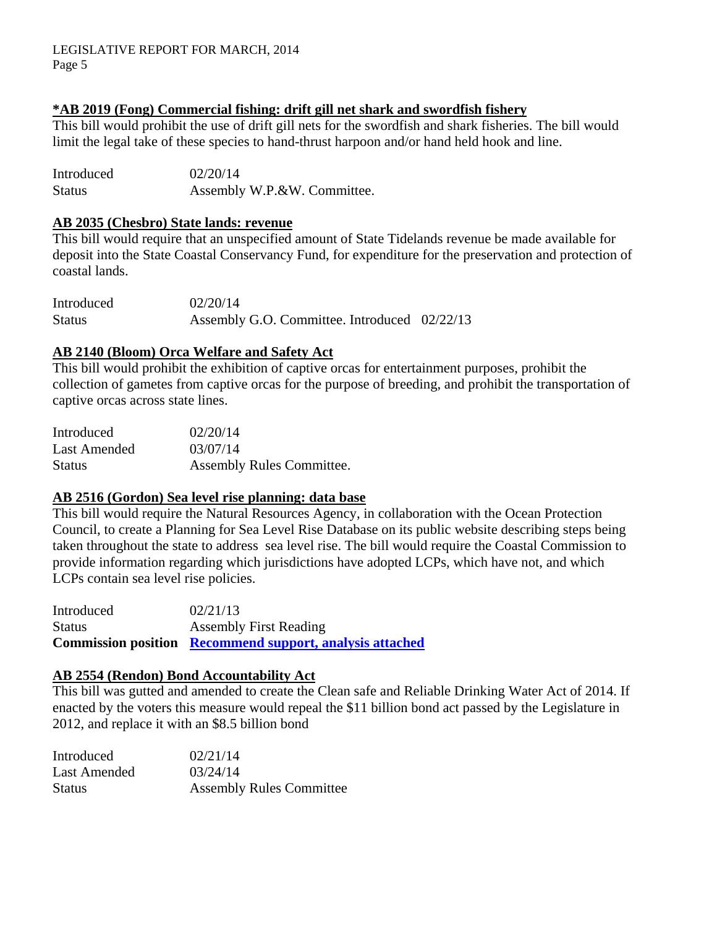#### LEGISLATIVE REPORT FOR MARCH, 2014 Page 5

### **\*AB 2019 (Fong) Commercial fishing: drift gill net shark and swordfish fishery**

This bill would prohibit the use of drift gill nets for the swordfish and shark fisheries. The bill would limit the legal take of these species to hand-thrust harpoon and/or hand held hook and line.

Introduced 02/20/14 Status **Assembly W.P.&W. Committee.** 

#### **AB 2035 (Chesbro) State lands: revenue**

This bill would require that an unspecified amount of State Tidelands revenue be made available for deposit into the State Coastal Conservancy Fund, for expenditure for the preservation and protection of coastal lands.

Introduced 02/20/14 Status Assembly G.O. Committee. Introduced 02/22/13

#### **AB 2140 (Bloom) Orca Welfare and Safety Act**

This bill would prohibit the exhibition of captive orcas for entertainment purposes, prohibit the collection of gametes from captive orcas for the purpose of breeding, and prohibit the transportation of captive orcas across state lines.

| Introduced    | 02/20/14                  |
|---------------|---------------------------|
| Last Amended  | 03/07/14                  |
| <b>Status</b> | Assembly Rules Committee. |

#### **AB 2516 (Gordon) Sea level rise planning: data base**

This bill would require the Natural Resources Agency, in collaboration with the Ocean Protection Council, to create a Planning for Sea Level Rise Database on its public website describing steps being taken throughout the state to address sea level rise. The bill would require the Coastal Commission to provide information regarding which jurisdictions have adopted LCPs, which have not, and which LCPs contain sea level rise policies.

Introduced 02/21/13 Status Assembly First Reading **Commission position [Recommend support, analysis attached](#page-8-0)**

#### **AB 2554 (Rendon) Bond Accountability Act**

This bill was gutted and amended to create the Clean safe and Reliable Drinking Water Act of 2014. If enacted by the voters this measure would repeal the \$11 billion bond act passed by the Legislature in 2012, and replace it with an \$8.5 billion bond

| Introduced    | 02/21/14                        |
|---------------|---------------------------------|
| Last Amended  | 03/24/14                        |
| <b>Status</b> | <b>Assembly Rules Committee</b> |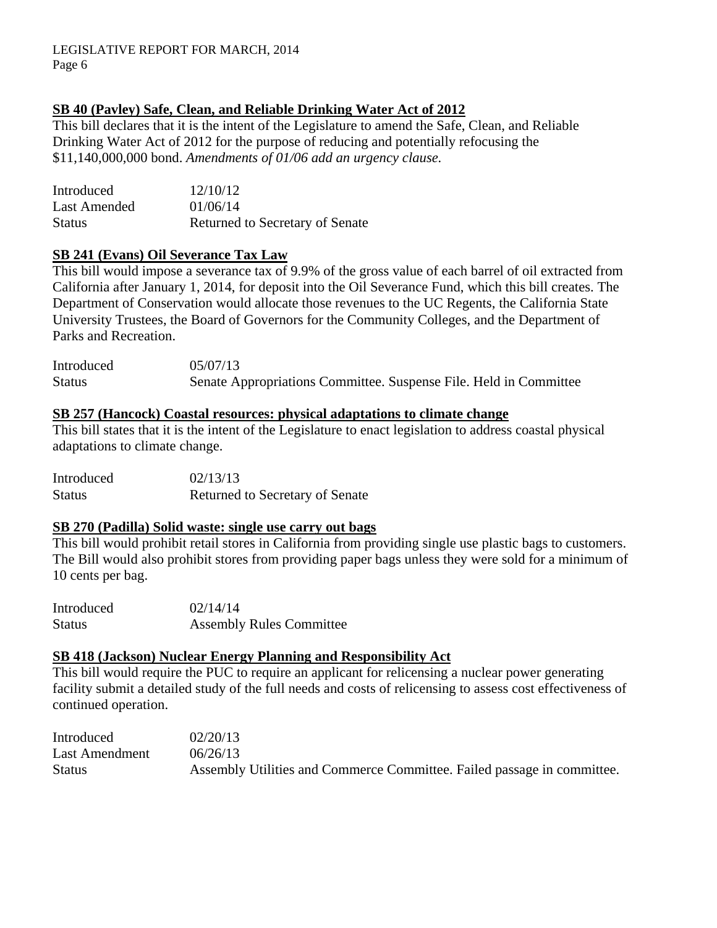# **SB 40 (Pavley) Safe, Clean, and Reliable Drinking Water Act of 2012**

This bill declares that it is the intent of the Legislature to amend the Safe, Clean, and Reliable Drinking Water Act of 2012 for the purpose of reducing and potentially refocusing the \$11,140,000,000 bond. *Amendments of 01/06 add an urgency clause.* 

| Introduced    | 12/10/12                        |
|---------------|---------------------------------|
| Last Amended  | 01/06/14                        |
| <b>Status</b> | Returned to Secretary of Senate |

### **SB 241 (Evans) Oil Severance Tax Law**

This bill would impose a severance tax of 9.9% of the gross value of each barrel of oil extracted from California after January 1, 2014, for deposit into the Oil Severance Fund, which this bill creates. The Department of Conservation would allocate those revenues to the UC Regents, the California State University Trustees, the Board of Governors for the Community Colleges, and the Department of Parks and Recreation.

Introduced 05/07/13 Status Senate Appropriations Committee. Suspense File. Held in Committee

#### **SB 257 (Hancock) Coastal resources: physical adaptations to climate change**

This bill states that it is the intent of the Legislature to enact legislation to address coastal physical adaptations to climate change.

Introduced 02/13/13 Status Returned to Secretary of Senate

### **SB 270 (Padilla) Solid waste: single use carry out bags**

This bill would prohibit retail stores in California from providing single use plastic bags to customers. The Bill would also prohibit stores from providing paper bags unless they were sold for a minimum of 10 cents per bag.

| Introduced | 02/14/14                        |
|------------|---------------------------------|
| Status     | <b>Assembly Rules Committee</b> |

### **SB 418 (Jackson) Nuclear Energy Planning and Responsibility Act**

This bill would require the PUC to require an applicant for relicensing a nuclear power generating facility submit a detailed study of the full needs and costs of relicensing to assess cost effectiveness of continued operation.

| Introduced     | 02/20/13                                                                |
|----------------|-------------------------------------------------------------------------|
| Last Amendment | 06/26/13                                                                |
| <b>Status</b>  | Assembly Utilities and Commerce Committee. Failed passage in committee. |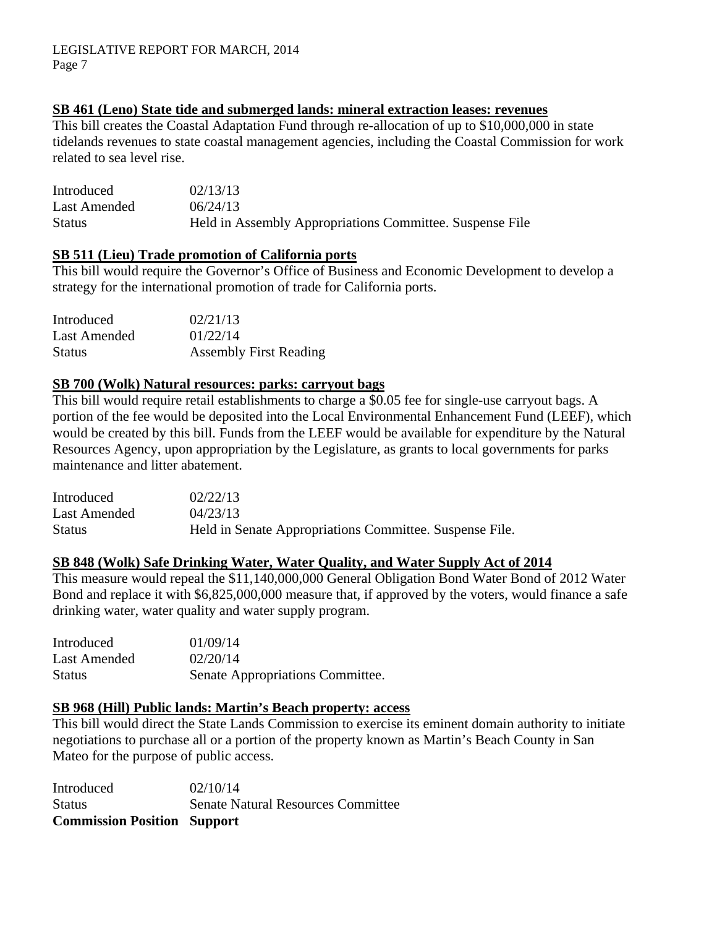#### **SB 461 (Leno) State tide and submerged lands: mineral extraction leases: revenues**

This bill creates the Coastal Adaptation Fund through re-allocation of up to \$10,000,000 in state tidelands revenues to state coastal management agencies, including the Coastal Commission for work related to sea level rise.

| Introduced    | 02/13/13                                                 |
|---------------|----------------------------------------------------------|
| Last Amended  | 06/24/13                                                 |
| <b>Status</b> | Held in Assembly Appropriations Committee. Suspense File |

#### **SB 511 (Lieu) Trade promotion of California ports**

This bill would require the Governor's Office of Business and Economic Development to develop a strategy for the international promotion of trade for California ports.

| Introduced    | 02/21/13                      |
|---------------|-------------------------------|
| Last Amended  | 01/22/14                      |
| <b>Status</b> | <b>Assembly First Reading</b> |

#### **SB 700 (Wolk) Natural resources: parks: carryout bags**

This bill would require retail establishments to charge a \$0.05 fee for single-use carryout bags. A portion of the fee would be deposited into the Local Environmental Enhancement Fund (LEEF), which would be created by this bill. Funds from the LEEF would be available for expenditure by the Natural Resources Agency, upon appropriation by the Legislature, as grants to local governments for parks maintenance and litter abatement.

| Introduced   | 02/22/13                                                |
|--------------|---------------------------------------------------------|
| Last Amended | 04/23/13                                                |
| Status       | Held in Senate Appropriations Committee. Suspense File. |

# **SB 848 (Wolk) Safe Drinking Water, Water Quality, and Water Supply Act of 2014**

This measure would repeal the \$11,140,000,000 General Obligation Bond Water Bond of 2012 Water Bond and replace it with \$6,825,000,000 measure that, if approved by the voters, would finance a safe drinking water, water quality and water supply program.

| Introduced    | 01/09/14                         |
|---------------|----------------------------------|
| Last Amended  | 02/20/14                         |
| <b>Status</b> | Senate Appropriations Committee. |

#### **SB 968 (Hill) Public lands: Martin's Beach property: access**

This bill would direct the State Lands Commission to exercise its eminent domain authority to initiate negotiations to purchase all or a portion of the property known as Martin's Beach County in San Mateo for the purpose of public access.

Introduced 02/10/14 Status Senate Natural Resources Committee **Commission Position Support**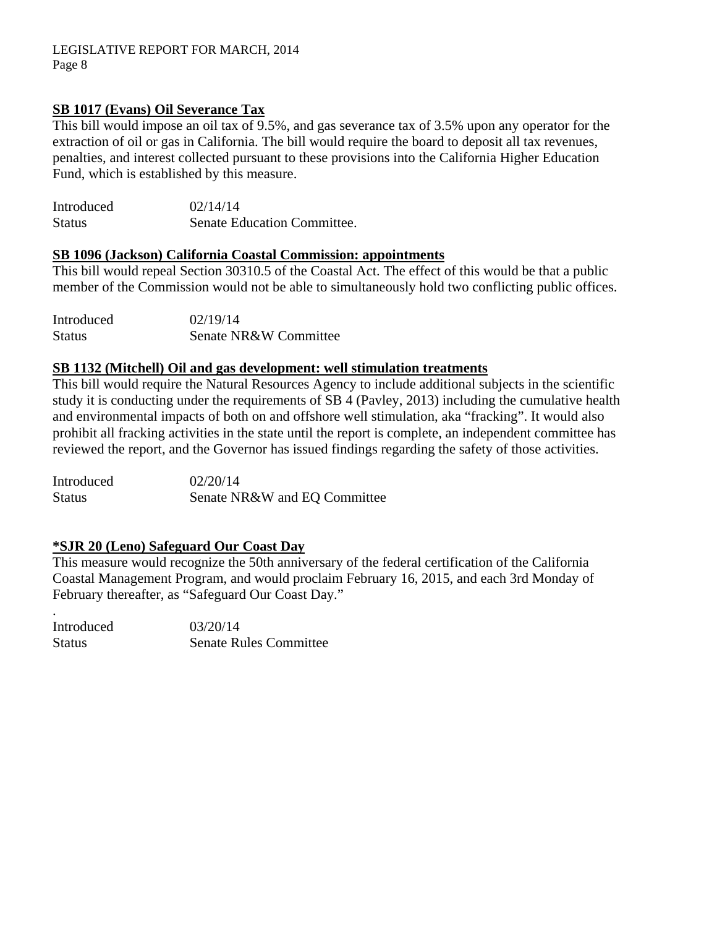# **SB 1017 (Evans) Oil Severance Tax**

This bill would impose an oil tax of 9.5%, and gas severance tax of 3.5% upon any operator for the extraction of oil or gas in California. The bill would require the board to deposit all tax revenues, penalties, and interest collected pursuant to these provisions into the California Higher Education Fund, which is established by this measure.

| Introduced    | 02/14/14                    |
|---------------|-----------------------------|
| <b>Status</b> | Senate Education Committee. |

### **SB 1096 (Jackson) California Coastal Commission: appointments**

This bill would repeal Section 30310.5 of the Coastal Act. The effect of this would be that a public member of the Commission would not be able to simultaneously hold two conflicting public offices.

| Introduced    | 02/19/14              |
|---------------|-----------------------|
| <b>Status</b> | Senate NR&W Committee |

#### **SB 1132 (Mitchell) Oil and gas development: well stimulation treatments**

This bill would require the Natural Resources Agency to include additional subjects in the scientific study it is conducting under the requirements of SB 4 (Pavley, 2013) including the cumulative health and environmental impacts of both on and offshore well stimulation, aka "fracking". It would also prohibit all fracking activities in the state until the report is complete, an independent committee has reviewed the report, and the Governor has issued findings regarding the safety of those activities.

Introduced 02/20/14 Status Senate NR&W and EQ Committee

### **\*SJR 20 (Leno) Safeguard Our Coast Day**

This measure would recognize the 50th anniversary of the federal certification of the California Coastal Management Program, and would proclaim February 16, 2015, and each 3rd Monday of February thereafter, as "Safeguard Our Coast Day."

| Introduced    | 03/20/14                      |
|---------------|-------------------------------|
| <b>Status</b> | <b>Senate Rules Committee</b> |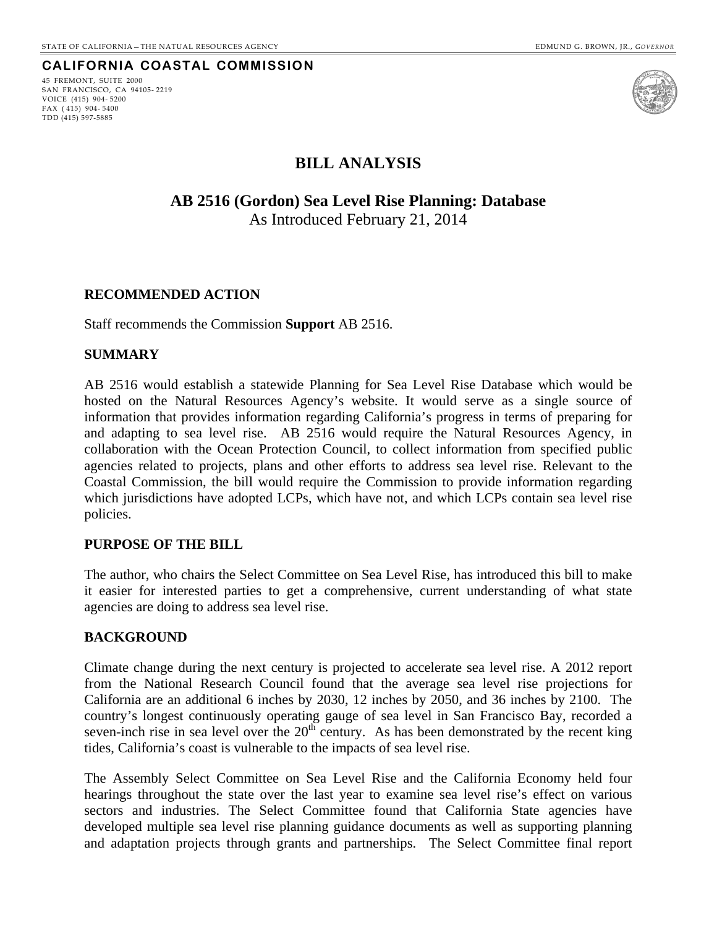#### **CALIFORNIA COASTAL COMMISSION**

45 FREMONT, SUITE 2000 SAN FRANCISCO, CA 94105- 2219 VOICE (415) 904- 5200 FAX ( 415) 904- 5400 TDD (415) 597-5885



# **BILL ANALYSIS**

**AB 2516 (Gordon) Sea Level Rise Planning: Database**  As Introduced February 21, 2014

#### <span id="page-8-0"></span>**RECOMMENDED ACTION**

Staff recommends the Commission **Support** AB 2516.

#### **SUMMARY**

AB 2516 would establish a statewide Planning for Sea Level Rise Database which would be hosted on the Natural Resources Agency's website. It would serve as a single source of information that provides information regarding California's progress in terms of preparing for and adapting to sea level rise. AB 2516 would require the Natural Resources Agency, in collaboration with the Ocean Protection Council, to collect information from specified public agencies related to projects, plans and other efforts to address sea level rise. Relevant to the Coastal Commission, the bill would require the Commission to provide information regarding which jurisdictions have adopted LCPs, which have not, and which LCPs contain sea level rise policies.

#### **PURPOSE OF THE BILL**

The author, who chairs the Select Committee on Sea Level Rise, has introduced this bill to make it easier for interested parties to get a comprehensive, current understanding of what state agencies are doing to address sea level rise.

#### **BACKGROUND**

Climate change during the next century is projected to accelerate sea level rise. A 2012 report from the National Research Council found that the average sea level rise projections for California are an additional 6 inches by 2030, 12 inches by 2050, and 36 inches by 2100. The country's longest continuously operating gauge of sea level in San Francisco Bay, recorded a seven-inch rise in sea level over the  $20<sup>th</sup>$  century. As has been demonstrated by the recent king tides, California's coast is vulnerable to the impacts of sea level rise.

The Assembly Select Committee on Sea Level Rise and the California Economy held four hearings throughout the state over the last year to examine sea level rise's effect on various sectors and industries. The Select Committee found that California State agencies have developed multiple sea level rise planning guidance documents as well as supporting planning and adaptation projects through grants and partnerships. The Select Committee final report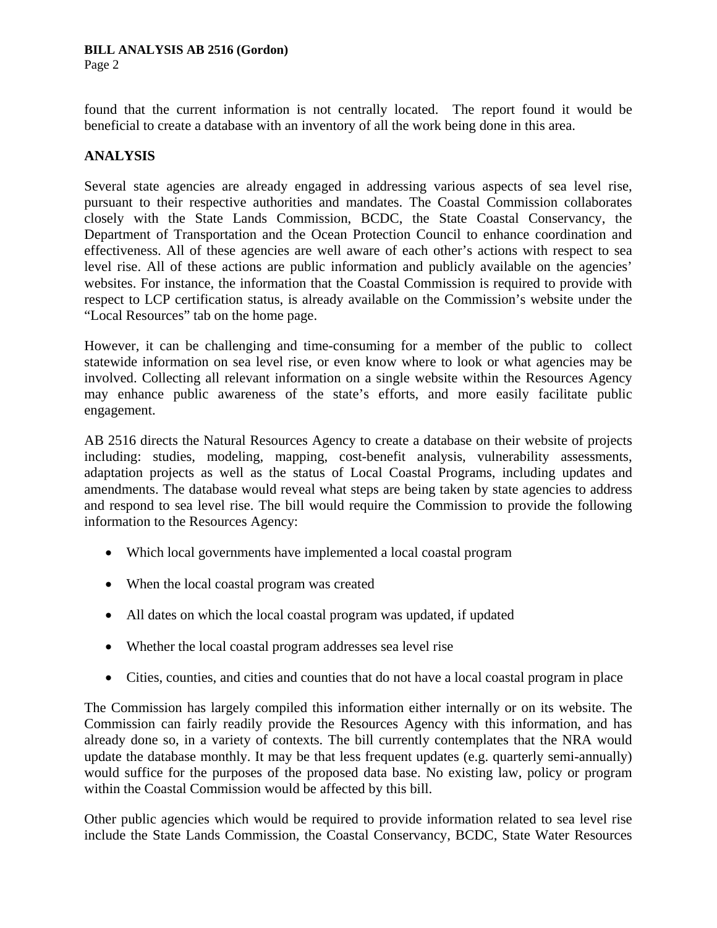#### **BILL ANALYSIS AB 2516 (Gordon)**

Page 2

found that the current information is not centrally located. The report found it would be beneficial to create a database with an inventory of all the work being done in this area.

# **ANALYSIS**

Several state agencies are already engaged in addressing various aspects of sea level rise, pursuant to their respective authorities and mandates. The Coastal Commission collaborates closely with the State Lands Commission, BCDC, the State Coastal Conservancy, the Department of Transportation and the Ocean Protection Council to enhance coordination and effectiveness. All of these agencies are well aware of each other's actions with respect to sea level rise. All of these actions are public information and publicly available on the agencies' websites. For instance, the information that the Coastal Commission is required to provide with respect to LCP certification status, is already available on the Commission's website under the "Local Resources" tab on the home page.

However, it can be challenging and time-consuming for a member of the public to collect statewide information on sea level rise, or even know where to look or what agencies may be involved. Collecting all relevant information on a single website within the Resources Agency may enhance public awareness of the state's efforts, and more easily facilitate public engagement.

AB 2516 directs the Natural Resources Agency to create a database on their website of projects including: studies, modeling, mapping, cost-benefit analysis, vulnerability assessments, adaptation projects as well as the status of Local Coastal Programs, including updates and amendments. The database would reveal what steps are being taken by state agencies to address and respond to sea level rise. The bill would require the Commission to provide the following information to the Resources Agency:

- Which local governments have implemented a local coastal program
- When the local coastal program was created
- All dates on which the local coastal program was updated, if updated
- Whether the local coastal program addresses sea level rise
- Cities, counties, and cities and counties that do not have a local coastal program in place

The Commission has largely compiled this information either internally or on its website. The Commission can fairly readily provide the Resources Agency with this information, and has already done so, in a variety of contexts. The bill currently contemplates that the NRA would update the database monthly. It may be that less frequent updates (e.g. quarterly semi-annually) would suffice for the purposes of the proposed data base. No existing law, policy or program within the Coastal Commission would be affected by this bill.

Other public agencies which would be required to provide information related to sea level rise include the State Lands Commission, the Coastal Conservancy, BCDC, State Water Resources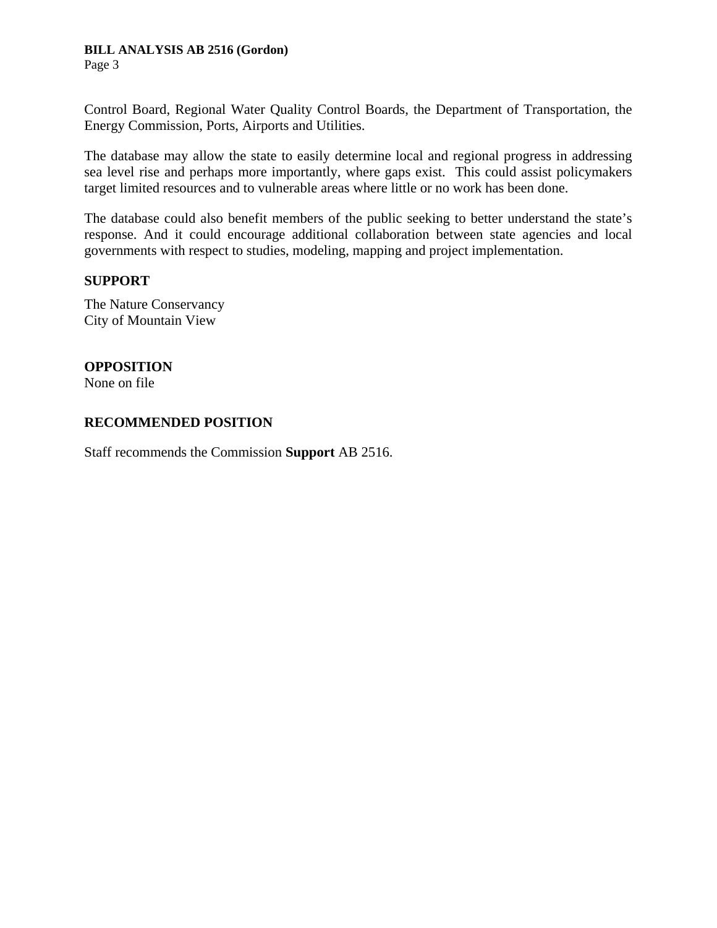### **BILL ANALYSIS AB 2516 (Gordon)**

Page 3

Control Board, Regional Water Quality Control Boards, the Department of Transportation, the Energy Commission, Ports, Airports and Utilities.

The database may allow the state to easily determine local and regional progress in addressing sea level rise and perhaps more importantly, where gaps exist. This could assist policymakers target limited resources and to vulnerable areas where little or no work has been done.

The database could also benefit members of the public seeking to better understand the state's response. And it could encourage additional collaboration between state agencies and local governments with respect to studies, modeling, mapping and project implementation.

#### **SUPPORT**

The Nature Conservancy City of Mountain View

# **OPPOSITION**

None on file

### **RECOMMENDED POSITION**

Staff recommends the Commission **Support** AB 2516.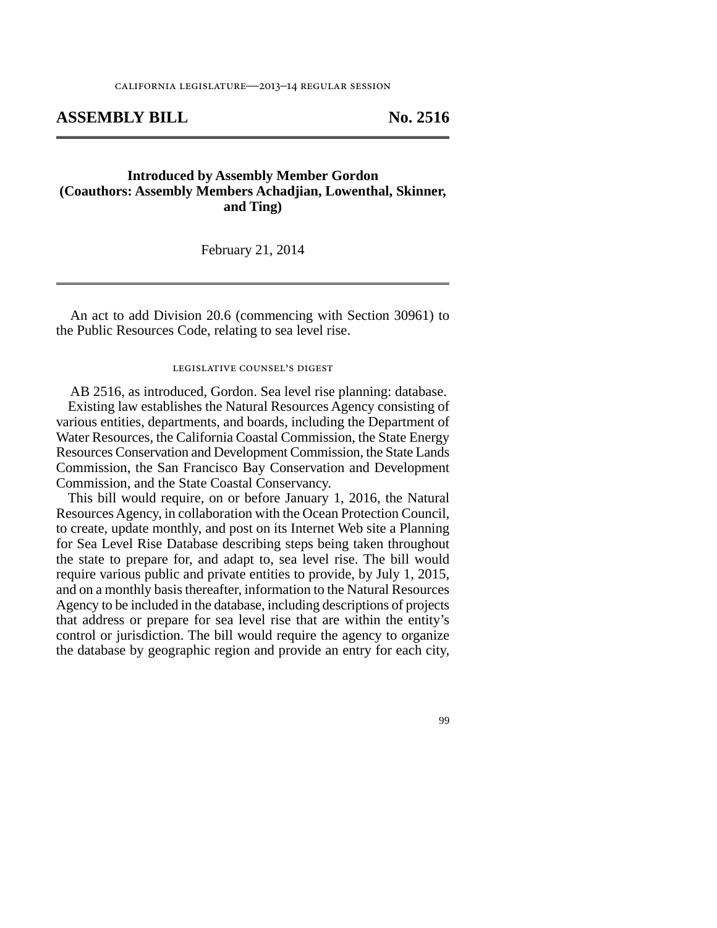#### **ASSEMBLY BILL No. 2516**

#### **Introduced by Assembly Member Gordon (Coauthors: Assembly Members Achadjian, Lowenthal, Skinner, and Ting)**

February 21, 2014

An act to add Division 20.6 (commencing with Section 30961) to the Public Resources Code, relating to sea level rise.

#### legislative counsel's digest

AB 2516, as introduced, Gordon. Sea level rise planning: database. Existing law establishes the Natural Resources Agency consisting of various entities, departments, and boards, including the Department of Water Resources, the California Coastal Commission, the State Energy Resources Conservation and Development Commission, the State Lands Commission, the San Francisco Bay Conservation and Development Commission, and the State Coastal Conservancy.

This bill would require, on or before January 1, 2016, the Natural Resources Agency, in collaboration with the Ocean Protection Council, to create, update monthly, and post on its Internet Web site a Planning for Sea Level Rise Database describing steps being taken throughout the state to prepare for, and adapt to, sea level rise. The bill would require various public and private entities to provide, by July 1, 2015, and on a monthly basis thereafter, information to the Natural Resources Agency to be included in the database, including descriptions of projects that address or prepare for sea level rise that are within the entity's control or jurisdiction. The bill would require the agency to organize the database by geographic region and provide an entry for each city,

99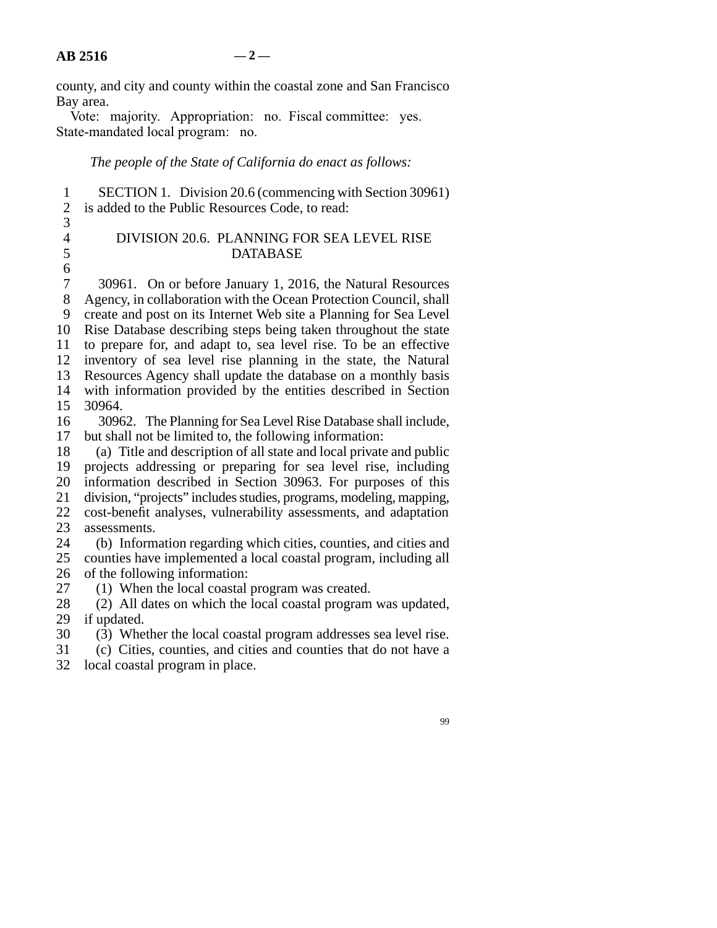county, and city and county within the coastal zone and San Francisco Bay area.

Vote: majority. Appropriation: no. Fiscal committee: yes. State-mandated local program: no.

*The people of the State of California do enact as follows:*

| $\frac{2}{3}$<br>is added to the Public Resources Code, to read:                                                                |  |
|---------------------------------------------------------------------------------------------------------------------------------|--|
|                                                                                                                                 |  |
|                                                                                                                                 |  |
| $\overline{4}$<br>DIVISION 20.6. PLANNING FOR SEA LEVEL RISE                                                                    |  |
| 5<br><b>DATABASE</b>                                                                                                            |  |
| $\boldsymbol{6}$                                                                                                                |  |
| $\tau$<br>30961. On or before January 1, 2016, the Natural Resources                                                            |  |
| $8\,$<br>Agency, in collaboration with the Ocean Protection Council, shall                                                      |  |
| 9<br>create and post on its Internet Web site a Planning for Sea Level                                                          |  |
| Rise Database describing steps being taken throughout the state<br>10                                                           |  |
| to prepare for, and adapt to, sea level rise. To be an effective<br>11<br>12                                                    |  |
| inventory of sea level rise planning in the state, the Natural<br>13                                                            |  |
| Resources Agency shall update the database on a monthly basis<br>14                                                             |  |
| with information provided by the entities described in Section<br>30964.<br>15                                                  |  |
| 16                                                                                                                              |  |
| 30962. The Planning for Sea Level Rise Database shall include,<br>but shall not be limited to, the following information:<br>17 |  |
| (a) Title and description of all state and local private and public<br>18                                                       |  |
| projects addressing or preparing for sea level rise, including<br>19                                                            |  |
| information described in Section 30963. For purposes of this<br>20                                                              |  |
| 21<br>division, "projects" includes studies, programs, modeling, mapping,                                                       |  |
| 22<br>cost-benefit analyses, vulnerability assessments, and adaptation                                                          |  |
| 23<br>assessments.                                                                                                              |  |
| 24<br>(b) Information regarding which cities, counties, and cities and                                                          |  |
| counties have implemented a local coastal program, including all<br>25                                                          |  |
| 26<br>of the following information:                                                                                             |  |
| (1) When the local coastal program was created.<br>27                                                                           |  |
| (2) All dates on which the local coastal program was updated,<br>28                                                             |  |
| 29<br>if updated.                                                                                                               |  |
| 30<br>(3) Whether the local coastal program addresses sea level rise.                                                           |  |
| 31<br>(c) Cities, counties, and cities and counties that do not have a                                                          |  |

32 local coastal program in place.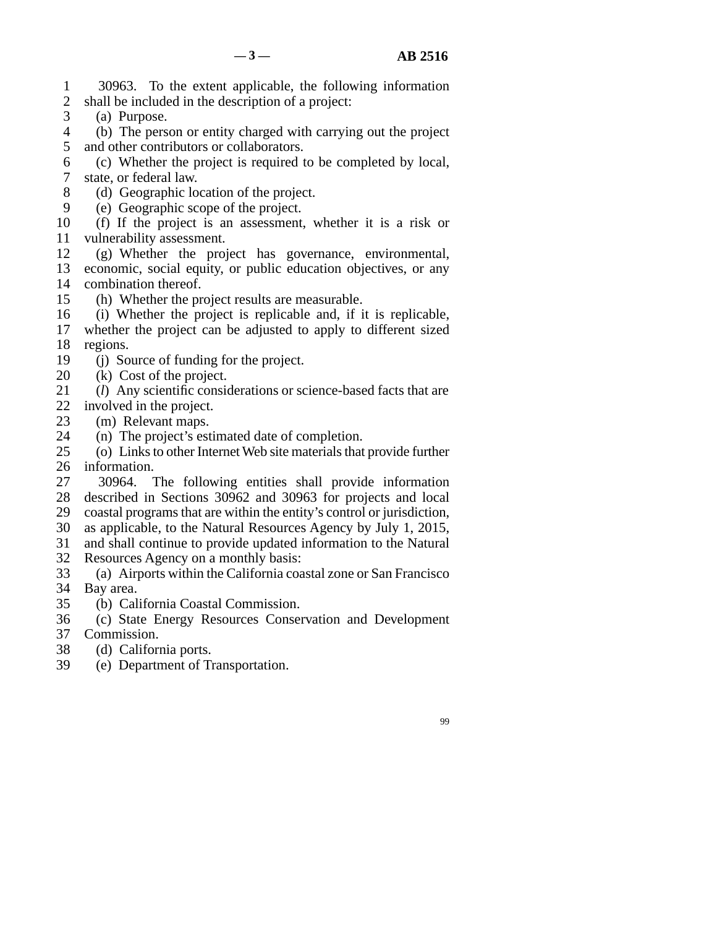line 1 30963. To the extent applicable, the following information 2 shall be included in the description of a project:

- 3 (a) Purpose.
- 4 (b) The person or entity charged with carrying out the project 5 and other contributors or collaborators.
- line 6 (c) Whether the project is required to be completed by local, 7 state, or federal law.
- 8 (d) Geographic location of the project.
- 9 (e) Geographic scope of the project.
- 10 (f) If the project is an assessment, whether it is a risk or 11 vulnerability assessment.
- 12 (g) Whether the project has governance, environmental, 13 economic, social equity, or public education objectives, or any combination thereof. combination thereof.
- 15 (h) Whether the project results are measurable.
- 16 (i) Whether the project is replicable and, if it is replicable, 17 whether the project can be adjusted to apply to different sized 18 regions.
- 19 (j) Source of funding for the project.
- $20$  (k) Cost of the project.
- 21 (*l*) Any scientific considerations or science-based facts that are 22 involved in the project.
- 23 (m) Relevant maps.
- 24 (n) The project's estimated date of completion.<br>25 (o) Links to other Internet Web site materials that
- (o) Links to other Internet Web site materials that provide further 26 information.
- 27 30964. The following entities shall provide information 28 described in Sections 30962 and 30963 for projects and local 29 coastal programs that are within the entity's control or jurisdiction, line 30 as applicable, to the Natural Resources Agency by July 1, 2015,
- 31 and shall continue to provide updated information to the Natural
- 32 Resources Agency on a monthly basis:
- 33 (a) Airports within the California coastal zone or San Francisco 34 Bay area.
- 35 (b) California Coastal Commission.
- 36 (c) State Energy Resources Conservation and Development 37 Commission.
- 
- 38 (d) California ports.
- 39 (e) Department of Transportation.

99